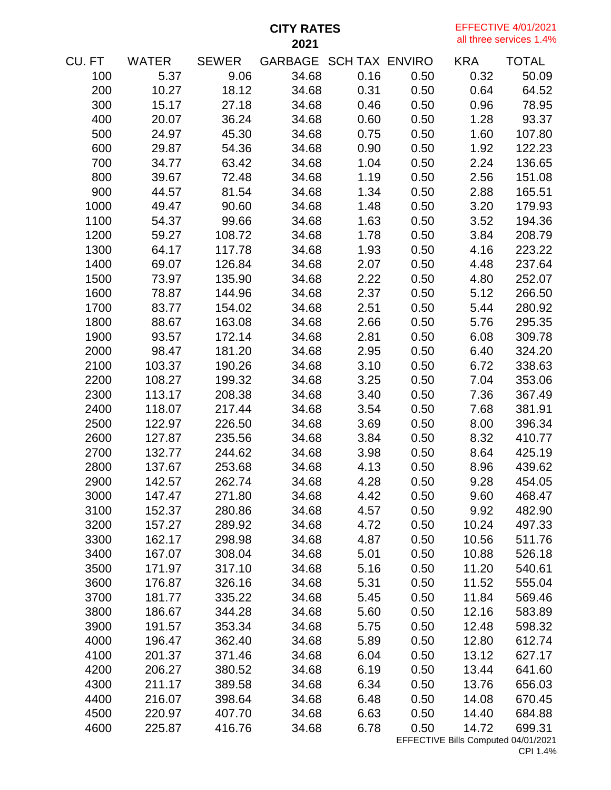**CITY RATES** 

EFFECTIVE 4/01/2021 all three services 1.4%

| CU. FT | <b>WATER</b> | SEWER  | GARBAGE SCH TAX ENVIRO |      |      | <b>KRA</b>                          | <b>TOTAL</b> |
|--------|--------------|--------|------------------------|------|------|-------------------------------------|--------------|
| 100    | 5.37         | 9.06   | 34.68                  | 0.16 | 0.50 | 0.32                                | 50.09        |
| 200    | 10.27        | 18.12  | 34.68                  | 0.31 | 0.50 | 0.64                                | 64.52        |
| 300    | 15.17        | 27.18  | 34.68                  | 0.46 | 0.50 | 0.96                                | 78.95        |
| 400    | 20.07        | 36.24  | 34.68                  | 0.60 | 0.50 | 1.28                                | 93.37        |
| 500    | 24.97        | 45.30  | 34.68                  | 0.75 | 0.50 | 1.60                                | 107.80       |
| 600    | 29.87        | 54.36  | 34.68                  | 0.90 | 0.50 | 1.92                                | 122.23       |
| 700    | 34.77        | 63.42  | 34.68                  | 1.04 | 0.50 | 2.24                                | 136.65       |
| 800    | 39.67        | 72.48  | 34.68                  | 1.19 | 0.50 | 2.56                                | 151.08       |
| 900    | 44.57        | 81.54  | 34.68                  | 1.34 | 0.50 | 2.88                                | 165.51       |
| 1000   | 49.47        | 90.60  | 34.68                  | 1.48 | 0.50 | 3.20                                | 179.93       |
| 1100   | 54.37        | 99.66  | 34.68                  | 1.63 | 0.50 | 3.52                                | 194.36       |
| 1200   | 59.27        | 108.72 | 34.68                  | 1.78 | 0.50 | 3.84                                | 208.79       |
| 1300   | 64.17        | 117.78 | 34.68                  | 1.93 | 0.50 | 4.16                                | 223.22       |
| 1400   | 69.07        | 126.84 | 34.68                  | 2.07 | 0.50 | 4.48                                | 237.64       |
| 1500   | 73.97        | 135.90 | 34.68                  | 2.22 | 0.50 | 4.80                                | 252.07       |
| 1600   | 78.87        | 144.96 | 34.68                  | 2.37 | 0.50 | 5.12                                | 266.50       |
| 1700   | 83.77        | 154.02 | 34.68                  | 2.51 | 0.50 | 5.44                                | 280.92       |
| 1800   | 88.67        | 163.08 | 34.68                  | 2.66 | 0.50 | 5.76                                | 295.35       |
| 1900   | 93.57        | 172.14 | 34.68                  | 2.81 | 0.50 | 6.08                                | 309.78       |
| 2000   | 98.47        | 181.20 | 34.68                  | 2.95 | 0.50 | 6.40                                | 324.20       |
| 2100   | 103.37       | 190.26 | 34.68                  | 3.10 | 0.50 | 6.72                                | 338.63       |
| 2200   | 108.27       | 199.32 | 34.68                  | 3.25 | 0.50 | 7.04                                | 353.06       |
| 2300   | 113.17       | 208.38 | 34.68                  | 3.40 | 0.50 | 7.36                                | 367.49       |
| 2400   | 118.07       | 217.44 | 34.68                  | 3.54 | 0.50 | 7.68                                | 381.91       |
| 2500   | 122.97       | 226.50 | 34.68                  | 3.69 | 0.50 | 8.00                                | 396.34       |
| 2600   | 127.87       | 235.56 | 34.68                  | 3.84 | 0.50 | 8.32                                | 410.77       |
| 2700   | 132.77       | 244.62 | 34.68                  | 3.98 | 0.50 | 8.64                                | 425.19       |
| 2800   | 137.67       | 253.68 | 34.68                  | 4.13 | 0.50 | 8.96                                | 439.62       |
| 2900   | 142.57       | 262.74 | 34.68                  | 4.28 | 0.50 | 9.28                                | 454.05       |
| 3000   | 147.47       | 271.80 | 34.68                  | 4.42 | 0.50 | 9.60                                | 468.47       |
| 3100   | 152.37       | 280.86 | 34.68                  | 4.57 | 0.50 | 9.92                                | 482.90       |
| 3200   | 157.27       | 289.92 | 34.68                  | 4.72 | 0.50 | 10.24                               | 497.33       |
| 3300   | 162.17       | 298.98 | 34.68                  | 4.87 | 0.50 | 10.56                               | 511.76       |
| 3400   | 167.07       | 308.04 | 34.68                  | 5.01 | 0.50 | 10.88                               | 526.18       |
| 3500   | 171.97       | 317.10 | 34.68                  | 5.16 | 0.50 | 11.20                               | 540.61       |
| 3600   | 176.87       | 326.16 | 34.68                  | 5.31 | 0.50 | 11.52                               | 555.04       |
| 3700   | 181.77       | 335.22 | 34.68                  | 5.45 | 0.50 | 11.84                               | 569.46       |
| 3800   | 186.67       | 344.28 | 34.68                  | 5.60 | 0.50 | 12.16                               | 583.89       |
| 3900   | 191.57       | 353.34 | 34.68                  | 5.75 | 0.50 | 12.48                               | 598.32       |
| 4000   | 196.47       | 362.40 | 34.68                  | 5.89 | 0.50 | 12.80                               | 612.74       |
| 4100   | 201.37       | 371.46 | 34.68                  | 6.04 | 0.50 | 13.12                               | 627.17       |
| 4200   | 206.27       | 380.52 | 34.68                  | 6.19 | 0.50 | 13.44                               | 641.60       |
| 4300   | 211.17       | 389.58 | 34.68                  | 6.34 | 0.50 | 13.76                               | 656.03       |
| 4400   | 216.07       | 398.64 | 34.68                  | 6.48 | 0.50 | 14.08                               | 670.45       |
| 4500   | 220.97       | 407.70 | 34.68                  | 6.63 | 0.50 | 14.40                               | 684.88       |
| 4600   | 225.87       | 416.76 | 34.68                  | 6.78 | 0.50 | 14.72                               | 699.31       |
|        |              |        |                        |      |      | EFFECTIVE Bills Computed 04/01/2021 |              |